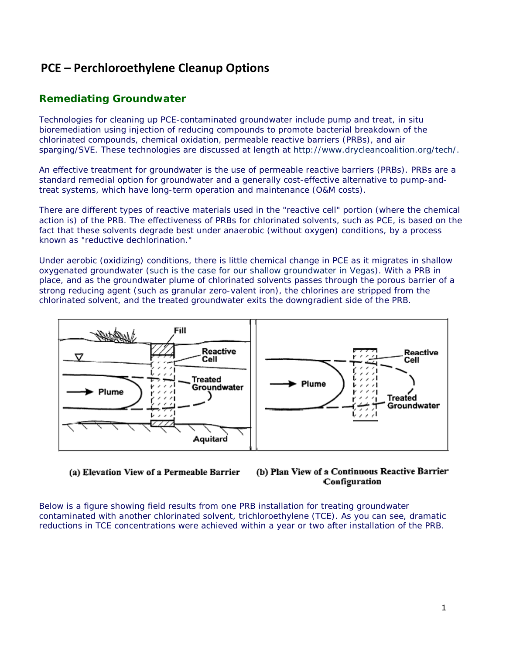# **PCE – Perchloroethylene Cleanup Options**

# **Remediating Groundwater**

Technologies for cleaning up PCE-contaminated groundwater include pump and treat, in situ bioremediation using injection of reducing compounds to promote bacterial breakdown of the chlorinated compounds, chemical oxidation, permeable reactive barriers (PRBs), and air sparging/SVE. These technologies are discussed at length at http://www.drycleancoalition.org/tech/.

An effective treatment for groundwater is the use of permeable reactive barriers (PRBs). PRBs are a standard remedial option for groundwater and a generally cost-effective alternative to pump-andtreat systems, which have long-term operation and maintenance (O&M costs).

There are different types of reactive materials used in the "reactive cell" portion (where the chemical action is) of the PRB. The effectiveness of PRBs for chlorinated solvents, such as PCE, is based on the fact that these solvents degrade best under anaerobic (without oxygen) conditions, by a process known as "reductive dechlorination."

Under aerobic (oxidizing) conditions, there is little chemical change in PCE as it migrates in shallow oxygenated groundwater (such is the case for our shallow groundwater in Vegas). With a PRB in place, and as the groundwater plume of chlorinated solvents passes through the porous barrier of a strong reducing agent (such as granular zero-valent iron), the chlorines are stripped from the chlorinated solvent, and the treated groundwater exits the downgradient side of the PRB.



(a) Elevation View of a Permeable Barrier



Below is a figure showing field results from one PRB installation for treating groundwater contaminated with another chlorinated solvent, trichloroethylene (TCE). As you can see, dramatic reductions in TCE concentrations were achieved within a year or two after installation of the PRB.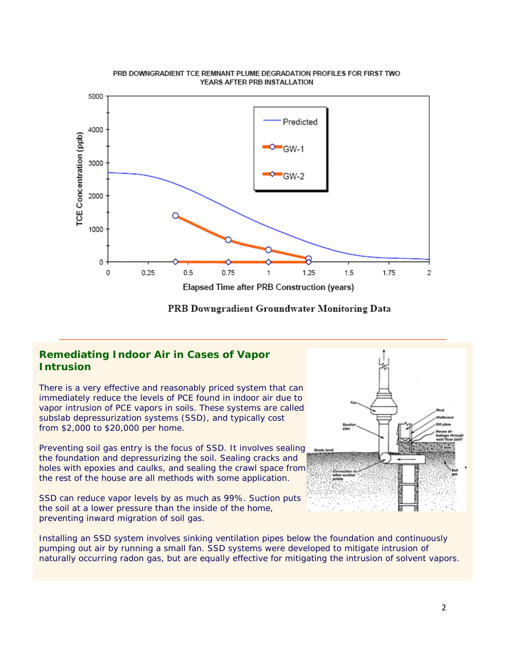

PRB Downgradient Groundwater Monitoring Data

### **Remediating Indoor Air in Cases of Vapor Intrusion**

There is a very effective and reasonably priced system that can immediately reduce the levels of PCE found in indoor air due to vapor intrusion of PCE vapors in soils. These systems are called subslab depressurization systems (SSD), and typically cost from \$2,000 to \$20,000 per home.

Preventing soil gas entry is the focus of SSD. It involves sealing the foundation and depressurizing the soil. Sealing cracks and holes with epoxies and caulks, and sealing the crawl space from the rest of the house are all methods with some application.

SSD can reduce vapor levels by as much as 99%. Suction puts the soil at a lower pressure than the inside of the home, preventing inward migration of soil gas.



Installing an SSD system involves sinking ventilation pipes below the foundation and continuously pumping out air by running a small fan. SSD systems were developed to mitigate intrusion of naturally occurring radon gas, but are equally effective for mitigating the intrusion of solvent vapors.